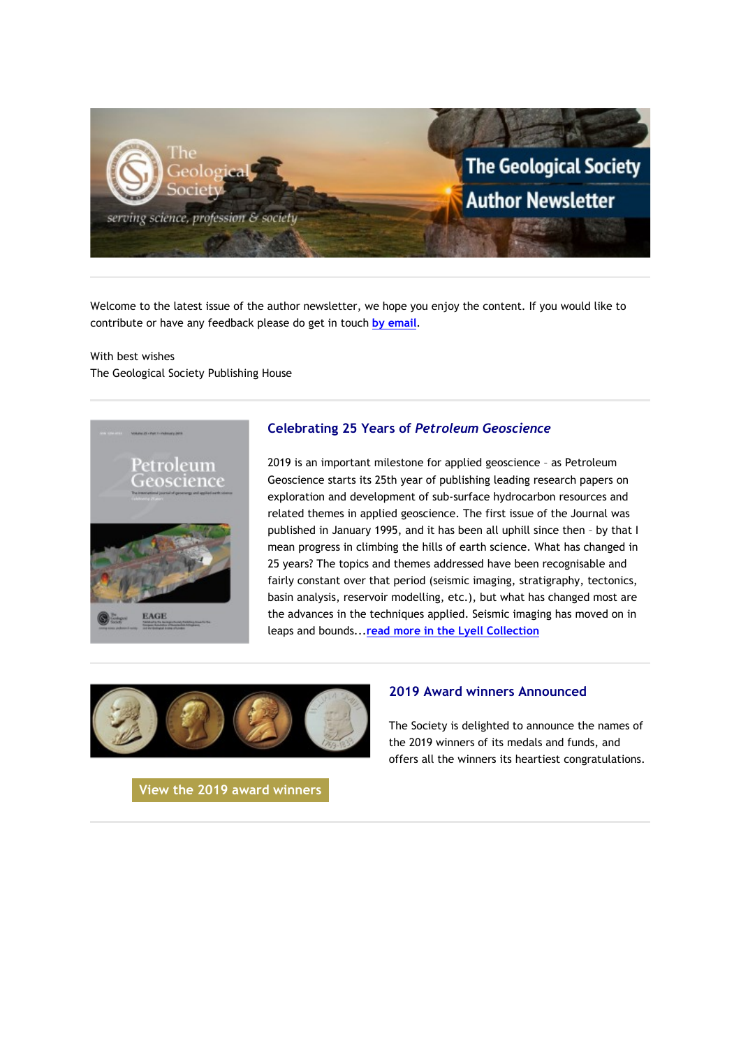

Welcome to the latest issue of the author newsletter, we hope you enjoy the content. If you would like to contribute or have any feedback please do get in touch **[by email](mailto:marketing@geolsoc.org.uk?subject=Author%20Newsletter)**.

With best wishes The Geological Society Publishing House



## **Celebrating 25 Years of** *Petroleum Geoscience*

2019 is an important milestone for applied geoscience – as Petroleum Geoscience starts its 25th year of publishing leading research papers on exploration and development of sub-surface hydrocarbon resources and related themes in applied geoscience. The first issue of the Journal was published in January 1995, and it has been all uphill since then – by that I mean progress in climbing the hills of earth science. What has changed in 25 years? The topics and themes addressed have been recognisable and fairly constant over that period (seismic imaging, stratigraphy, tectonics, basin analysis, reservoir modelling, etc.), but what has changed most are the advances in the techniques applied. Seismic imaging has moved on in leaps and bounds...**[read more in the Lyell Collection](https://eur01.safelinks.protection.outlook.com/?url=http%3A%2F%2Fgeologicalsociety.msgfocus.com%2Fc%2F1iylrwqHMi4Jtx3yupl&data=02%7C01%7Clucy.pullen%40geolsoc.org.uk%7Cf7a529ccdd514e6052d608d6ccb520b1%7C8793af0570194bd4bcbe1895301e92f9%7C0%7C0%7C636921475640661215&sdata=7jit7Vc84Ih5CC0ge8d9bxaq6F7goKaiw%2FwA7hLPqng%3D&reserved=0)**



### **2019 Award winners Announced**

The Society is delighted to announce the names of the 2019 winners of its medals and funds, and offers all the winners its heartiest congratulations.

**[View the 2019 award winners](https://eur01.safelinks.protection.outlook.com/?url=http%3A%2F%2Fgeologicalsociety.msgfocus.com%2Fc%2F1iylIZKiw6NCSStB7fb&data=02%7C01%7Clucy.pullen%40geolsoc.org.uk%7Cf7a529ccdd514e6052d608d6ccb520b1%7C8793af0570194bd4bcbe1895301e92f9%7C0%7C0%7C636921475640671220&sdata=vrCX4gvofyhz5goNDtmMEUGeTTE9HEEhL3ObdHGMguo%3D&reserved=0)**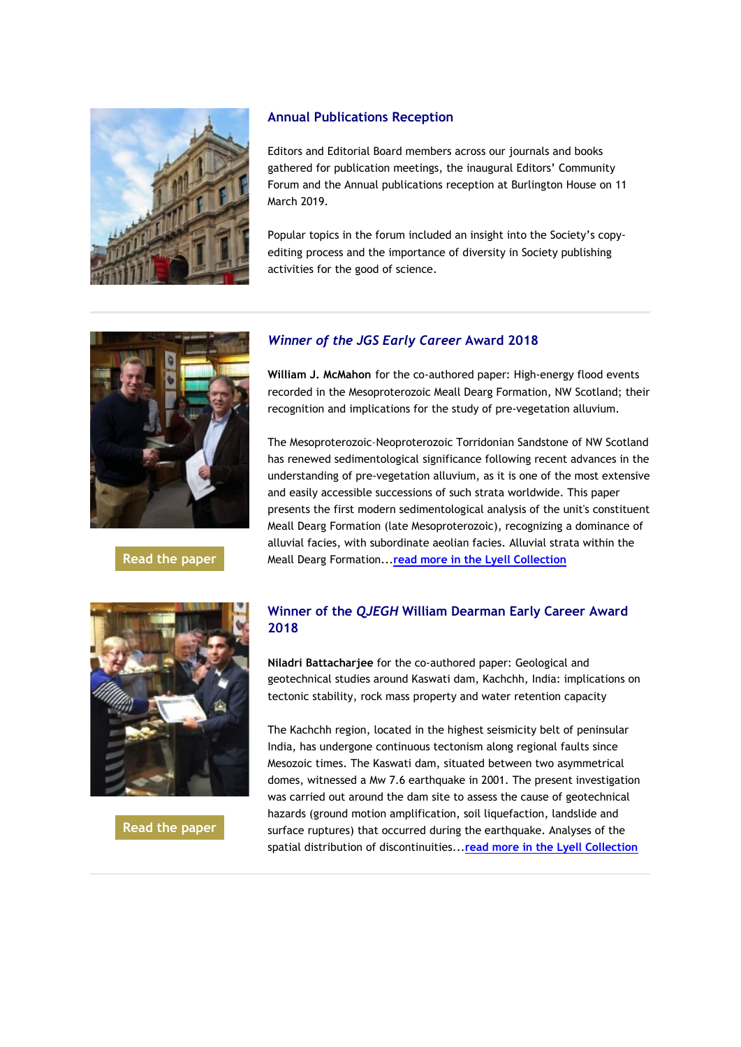

### **Annual Publications Reception**

Editors and Editorial Board members across our journals and books gathered for publication meetings, the inaugural Editors' Community Forum and the Annual publications reception at Burlington House on 11 March 2019.

Popular topics in the forum included an insight into the Society's copyediting process and the importance of diversity in Society publishing activities for the good of science.



### **[Read the paper](https://eur01.safelinks.protection.outlook.com/?url=http%3A%2F%2Fgeologicalsociety.msgfocus.com%2Fc%2F1iymhWntZKfpHzjGmUR&data=02%7C01%7Clucy.pullen%40geolsoc.org.uk%7Cf7a529ccdd514e6052d608d6ccb520b1%7C8793af0570194bd4bcbe1895301e92f9%7C0%7C0%7C636921475640681229&sdata=N%2FHGMlmzx4CiBc0Kq%2BK4IwC4PR6BjQMsDktnJJBsPOw%3D&reserved=0)**

# *Winner of the JGS Early Career* **Award 2018**

**William J. McMahon** for the co-authored paper: High-energy flood events recorded in the Mesoproterozoic Meall Dearg Formation, NW Scotland; their recognition and implications for the study of pre-vegetation alluvium.

The Mesoproterozoic–Neoproterozoic Torridonian Sandstone of NW Scotland has renewed sedimentological significance following recent advances in the understanding of pre-vegetation alluvium, as it is one of the most extensive and easily accessible successions of such strata worldwide. This paper presents the first modern sedimentological analysis of the unit's constituent Meall Dearg Formation (late Mesoproterozoic), recognizing a dominance of alluvial facies, with subordinate aeolian facies. Alluvial strata within the Meall Dearg Formation...**[read more in the Lyell Collection](https://eur01.safelinks.protection.outlook.com/?url=http%3A%2F%2Fgeologicalsociety.msgfocus.com%2Fc%2F1iymqG2hmEBRpf1HGkM&data=02%7C01%7Clucy.pullen%40geolsoc.org.uk%7Cf7a529ccdd514e6052d608d6ccb520b1%7C8793af0570194bd4bcbe1895301e92f9%7C0%7C0%7C636921475640691230&sdata=P4kkX6EFuiTkWHYSmXKbPe%2B8LDu5FFbeJMLmS43fNoc%3D&reserved=0)**



**[Read the paper](https://eur01.safelinks.protection.outlook.com/?url=http%3A%2F%2Fgeologicalsociety.msgfocus.com%2Fc%2F1iymI9lS6tkKOArKjaC&data=02%7C01%7Clucy.pullen%40geolsoc.org.uk%7Cf7a529ccdd514e6052d608d6ccb520b1%7C8793af0570194bd4bcbe1895301e92f9%7C0%7C0%7C636921475640701244&sdata=bWSBOK6HV9fErNsg61I5GPEhkd%2BtKSORFFg7h%2B4pyyc%3D&reserved=0)**

## **Winner of the** *QJEGH* **William Dearman Early Career Award 2018**

**Niladri Battacharjee** for the co-authored paper: Geological and geotechnical studies around Kaswati dam, Kachchh, India: implications on tectonic stability, rock mass property and water retention capacity

The Kachchh region, located in the highest seismicity belt of peninsular India, has undergone continuous tectonism along regional faults since Mesozoic times. The Kaswati dam, situated between two asymmetrical domes, witnessed a Mw 7.6 earthquake in 2001. The present investigation was carried out around the dam site to assess the cause of geotechnical hazards (ground motion amplification, soil liquefaction, landslide and surface ruptures) that occurred during the earthquake. Analyses of the spatial distribution of discontinuities...**[read more in the Lyell Collection](https://eur01.safelinks.protection.outlook.com/?url=http%3A%2F%2Fgeologicalsociety.msgfocus.com%2Fc%2F1iymQT0FtnHcwg9LCAx&data=02%7C01%7Clucy.pullen%40geolsoc.org.uk%7Cf7a529ccdd514e6052d608d6ccb520b1%7C8793af0570194bd4bcbe1895301e92f9%7C0%7C0%7C636921475640701244&sdata=WQSNEX4PTWCujDQmhdo1IMPDrMVwV7YMrb70wNJVnLg%3D&reserved=0)**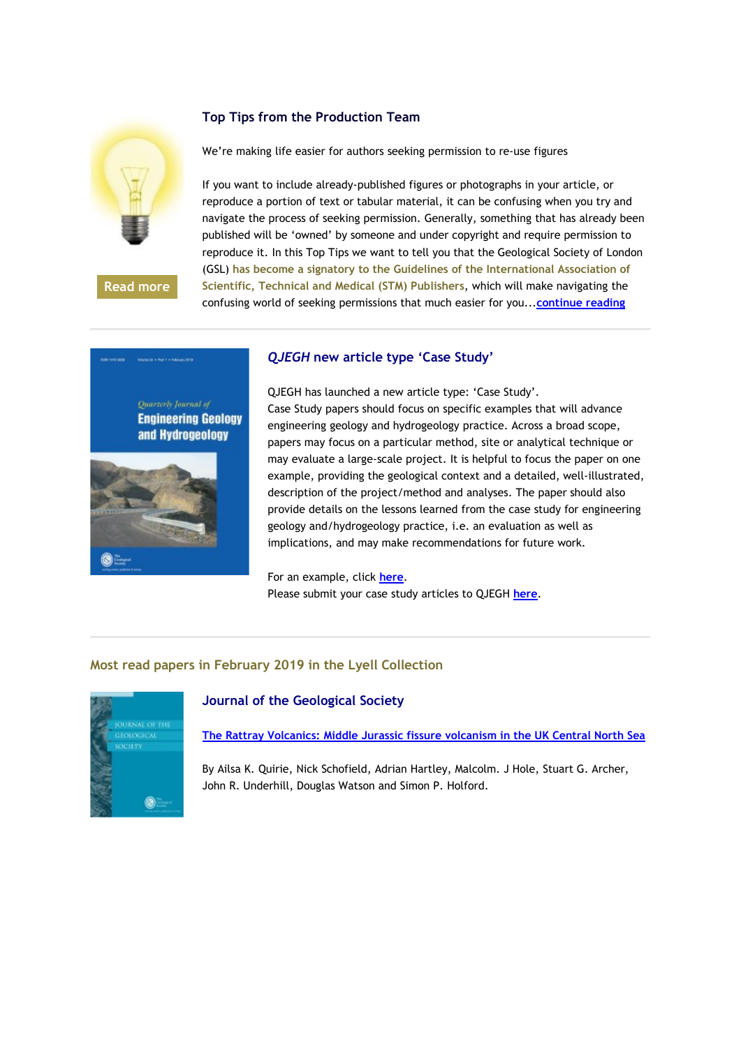

**[Read more](https://eur01.safelinks.protection.outlook.com/?url=http%3A%2F%2Fgeologicalsociety.msgfocus.com%2Fc%2F1iyn8mkgdcq5VBzOfqn&data=02%7C01%7Clucy.pullen%40geolsoc.org.uk%7Cf7a529ccdd514e6052d608d6ccb520b1%7C8793af0570194bd4bcbe1895301e92f9%7C0%7C0%7C636921475640711249&sdata=TGUFYmAesBvfuq6LII%2B3WanZ4YvOIyQpvun55FgJlzY%3D&reserved=0)**

## **Top Tips from the Production Team**

We're making life easier for authors seeking permission to re-use figures

If you want to include already-published figures or photographs in your article, or reproduce a portion of text or tabular material, it can be confusing when you try and navigate the process of seeking permission. Generally, something that has already been published will be 'owned' by someone and under copyright and require permission to reproduce it. In this Top Tips we want to tell you that the Geological Society of London (GSL) **has become a signatory to the Guidelines of the International Association of Scientific, Technical and Medical (STM) Publishers**, which will make navigating the confusing world of seeking permissions that much easier for you...**[continue reading](https://eur01.safelinks.protection.outlook.com/?url=http%3A%2F%2Fgeologicalsociety.msgfocus.com%2Fc%2F1iynh5Z3A6MxDhhPyQi&data=02%7C01%7Clucy.pullen%40geolsoc.org.uk%7Cf7a529ccdd514e6052d608d6ccb520b1%7C8793af0570194bd4bcbe1895301e92f9%7C0%7C0%7C636921475640721258&sdata=p2OZv%2BO0mr9BRULL%2BxlC6OsjSAXHsk9Gz%2FijnMQ3pGM%3D&reserved=0)**



### *QJEGH* **new article type 'Case Study'**

QJEGH has launched a new article type: 'Case Study'. Case Study papers should focus on specific examples that will advance engineering geology and hydrogeology practice. Across a broad scope, papers may focus on a particular method, site or analytical technique or may evaluate a large-scale project. It is helpful to focus the paper on one example, providing the geological context and a detailed, well-illustrated, description of the project/method and analyses. The paper should also provide details on the lessons learned from the case study for engineering geology and/hydrogeology practice, i.e. an evaluation as well as implications, and may make recommendations for future work.

For an example, click **[here](https://eur01.safelinks.protection.outlook.com/?url=http%3A%2F%2Fgeologicalsociety.msgfocus.com%2Fc%2F1iynyziEjVvr2CHSbG8&data=02%7C01%7Clucy.pullen%40geolsoc.org.uk%7Cf7a529ccdd514e6052d608d6ccb520b1%7C8793af0570194bd4bcbe1895301e92f9%7C0%7C0%7C636921475640731263&sdata=e5ZPT71Y9xsRWBv7x5ju3WoIXVDZQBRC%2FKqcGRDsi2c%3D&reserved=0)**. Please submit your case study articles to QJEGH **[here](https://eur01.safelinks.protection.outlook.com/?url=http%3A%2F%2Fgeologicalsociety.msgfocus.com%2Fc%2F1iynQ2Cf3KekrY7UOvY&data=02%7C01%7Clucy.pullen%40geolsoc.org.uk%7Cf7a529ccdd514e6052d608d6ccb520b1%7C8793af0570194bd4bcbe1895301e92f9%7C0%7C0%7C636921475640741273&sdata=ew5RsO%2FoRAGOTTOh0GaDQMgGi3CKKinr7b7S2JPrFTQ%3D&reserved=0)**.

## **Most read papers in February 2019 in the Lyell Collection**



## **Journal of the Geological Society**

**[The Rattray Volcanics: Middle Jurassic fissure volcanism in the UK Central North Sea](https://eur01.safelinks.protection.outlook.com/?url=http%3A%2F%2Fgeologicalsociety.msgfocus.com%2Fc%2F1iyo7vVPNyXdRjxXrlO&data=02%7C01%7Clucy.pullen%40geolsoc.org.uk%7Cf7a529ccdd514e6052d608d6ccb520b1%7C8793af0570194bd4bcbe1895301e92f9%7C0%7C0%7C636921475640751278&sdata=0M4q7cW9mhRXvXBUTrcBukbTBlsPhsXzP9yRS5D5Jts%3D&reserved=0)**

By Ailsa K. Quirie, Nick Schofield, Adrian Hartley, Malcolm. J Hole, Stuart G. Archer, John R. Underhill, Douglas Watson and Simon P. Holford.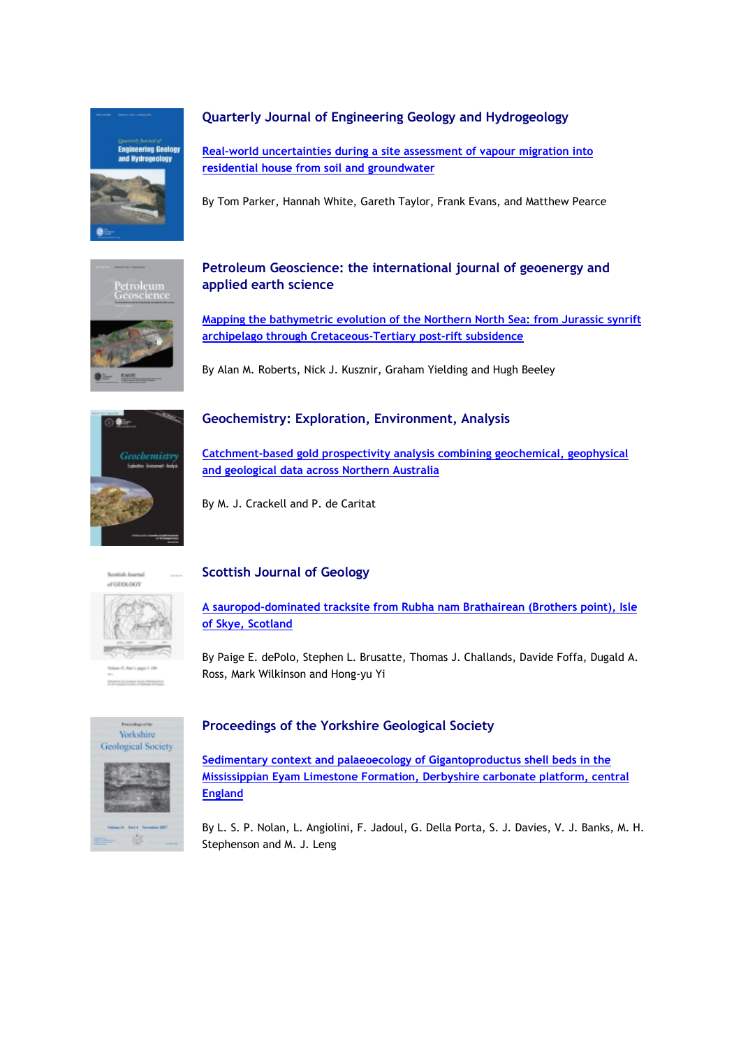

## **Quarterly Journal of Engineering Geology and Hydrogeology**

**[Real-world uncertainties during a site assessment of vapour migration into](https://eur01.safelinks.protection.outlook.com/?url=http%3A%2F%2Fgeologicalsociety.msgfocus.com%2Fc%2F1iyooZfqxnG7gEY04bE&data=02%7C01%7Clucy.pullen%40geolsoc.org.uk%7Cf7a529ccdd514e6052d608d6ccb520b1%7C8793af0570194bd4bcbe1895301e92f9%7C0%7C0%7C636921475640761283&sdata=bBbcW9pmbHmGrAmfNKBC6eYdkC5vWzhEpnEB3k0ncXQ%3D&reserved=0)  [residential house from soil and groundwater](https://eur01.safelinks.protection.outlook.com/?url=http%3A%2F%2Fgeologicalsociety.msgfocus.com%2Fc%2F1iyooZfqxnG7gEY04bE&data=02%7C01%7Clucy.pullen%40geolsoc.org.uk%7Cf7a529ccdd514e6052d608d6ccb520b1%7C8793af0570194bd4bcbe1895301e92f9%7C0%7C0%7C636921475640761283&sdata=bBbcW9pmbHmGrAmfNKBC6eYdkC5vWzhEpnEB3k0ncXQ%3D&reserved=0)**

By Tom Parker, Hannah White, Gareth Taylor, Frank Evans, and Matthew Pearce



## **Petroleum Geoscience: the international journal of geoenergy and applied earth science**

**[Mapping the bathymetric evolution of the Northern North Sea: from Jurassic synrift](https://eur01.safelinks.protection.outlook.com/?url=http%3A%2F%2Fgeologicalsociety.msgfocus.com%2Fc%2F1iyoGsz1hcp0G0o2H1u&data=02%7C01%7Clucy.pullen%40geolsoc.org.uk%7Cf7a529ccdd514e6052d608d6ccb520b1%7C8793af0570194bd4bcbe1895301e92f9%7C0%7C0%7C636921475640771288&sdata=2wdHXOXtLGDJiDF3PCxkbFZq0aj1uVJEcVpO2JOCbUk%3D&reserved=0)  [archipelago through Cretaceous-Tertiary post-rift subsidence](https://eur01.safelinks.protection.outlook.com/?url=http%3A%2F%2Fgeologicalsociety.msgfocus.com%2Fc%2F1iyoGsz1hcp0G0o2H1u&data=02%7C01%7Clucy.pullen%40geolsoc.org.uk%7Cf7a529ccdd514e6052d608d6ccb520b1%7C8793af0570194bd4bcbe1895301e92f9%7C0%7C0%7C636921475640771288&sdata=2wdHXOXtLGDJiDF3PCxkbFZq0aj1uVJEcVpO2JOCbUk%3D&reserved=0)**

By Alan M. Roberts, Nick J. Kusznir, Graham Yielding and Hugh Beeley



## **Geochemistry: Exploration, Environment, Analysis**

**[Catchment-based gold prospectivity analysis combining geochemical, geophysical](https://eur01.safelinks.protection.outlook.com/?url=http%3A%2F%2Fgeologicalsociety.msgfocus.com%2Fc%2F1iyoXVSC117U5lO5jRk&data=02%7C01%7Clucy.pullen%40geolsoc.org.uk%7Cf7a529ccdd514e6052d608d6ccb520b1%7C8793af0570194bd4bcbe1895301e92f9%7C0%7C0%7C636921475640781302&sdata=glGSz%2BDBNsUPQ2hSClpU63SENnWfoceJuoh%2FQTRu8Hs%3D&reserved=0)  [and geological data across Northern Australia](https://eur01.safelinks.protection.outlook.com/?url=http%3A%2F%2Fgeologicalsociety.msgfocus.com%2Fc%2F1iyoXVSC117U5lO5jRk&data=02%7C01%7Clucy.pullen%40geolsoc.org.uk%7Cf7a529ccdd514e6052d608d6ccb520b1%7C8793af0570194bd4bcbe1895301e92f9%7C0%7C0%7C636921475640781302&sdata=glGSz%2BDBNsUPQ2hSClpU63SENnWfoceJuoh%2FQTRu8Hs%3D&reserved=0)** 

By M. J. Crackell and P. de Caritat

Scottish Journal of GEOLOGY



# **Scottish Journal of Geology**

**[A sauropod-dominated tracksite from Rubha nam Brathairean \(Brothers point\), Isle](https://eur01.safelinks.protection.outlook.com/?url=http%3A%2F%2Fgeologicalsociety.msgfocus.com%2Fc%2F1iypo8R07KdfcmW9g75&data=02%7C01%7Clucy.pullen%40geolsoc.org.uk%7Cf7a529ccdd514e6052d608d6ccb520b1%7C8793af0570194bd4bcbe1895301e92f9%7C0%7C0%7C636921475640791311&sdata=JVagi19iGX7WnAGD1dljMqltJUOX0fNRbS9UKuLCVjY%3D&reserved=0)  [of Skye, Scotland](https://eur01.safelinks.protection.outlook.com/?url=http%3A%2F%2Fgeologicalsociety.msgfocus.com%2Fc%2F1iypo8R07KdfcmW9g75&data=02%7C01%7Clucy.pullen%40geolsoc.org.uk%7Cf7a529ccdd514e6052d608d6ccb520b1%7C8793af0570194bd4bcbe1895301e92f9%7C0%7C0%7C636921475640791311&sdata=JVagi19iGX7WnAGD1dljMqltJUOX0fNRbS9UKuLCVjY%3D&reserved=0)**

By Paige E. dePolo, Stephen L. Brusatte, Thomas J. Challands, Davide Foffa, Dugald A. Ross, Mark Wilkinson and Hong-yu Yi



## **Proceedings of the Yorkshire Geological Society**

**[Sedimentary context and palaeoecology of Gigantoproductus shell beds in the](https://eur01.safelinks.protection.outlook.com/?url=http%3A%2F%2Fgeologicalsociety.msgfocus.com%2Fc%2F1iypFCaARyW8BImbSWV&data=02%7C01%7Clucy.pullen%40geolsoc.org.uk%7Cf7a529ccdd514e6052d608d6ccb520b1%7C8793af0570194bd4bcbe1895301e92f9%7C0%7C0%7C636921475640811325&sdata=GvQJdrh95MtFJb0YtkdDLdAig2lBxba0GOCgqCLAx%2BQ%3D&reserved=0)  [Mississippian Eyam Limestone Formation, Derbyshire carbonate platform, central](https://eur01.safelinks.protection.outlook.com/?url=http%3A%2F%2Fgeologicalsociety.msgfocus.com%2Fc%2F1iypFCaARyW8BImbSWV&data=02%7C01%7Clucy.pullen%40geolsoc.org.uk%7Cf7a529ccdd514e6052d608d6ccb520b1%7C8793af0570194bd4bcbe1895301e92f9%7C0%7C0%7C636921475640811325&sdata=GvQJdrh95MtFJb0YtkdDLdAig2lBxba0GOCgqCLAx%2BQ%3D&reserved=0)  [England](https://eur01.safelinks.protection.outlook.com/?url=http%3A%2F%2Fgeologicalsociety.msgfocus.com%2Fc%2F1iypFCaARyW8BImbSWV&data=02%7C01%7Clucy.pullen%40geolsoc.org.uk%7Cf7a529ccdd514e6052d608d6ccb520b1%7C8793af0570194bd4bcbe1895301e92f9%7C0%7C0%7C636921475640811325&sdata=GvQJdrh95MtFJb0YtkdDLdAig2lBxba0GOCgqCLAx%2BQ%3D&reserved=0)**

By L. S. P. Nolan, L. Angiolini, F. Jadoul, G. Della Porta, S. J. Davies, V. J. Banks, M. H. Stephenson and M. J. Leng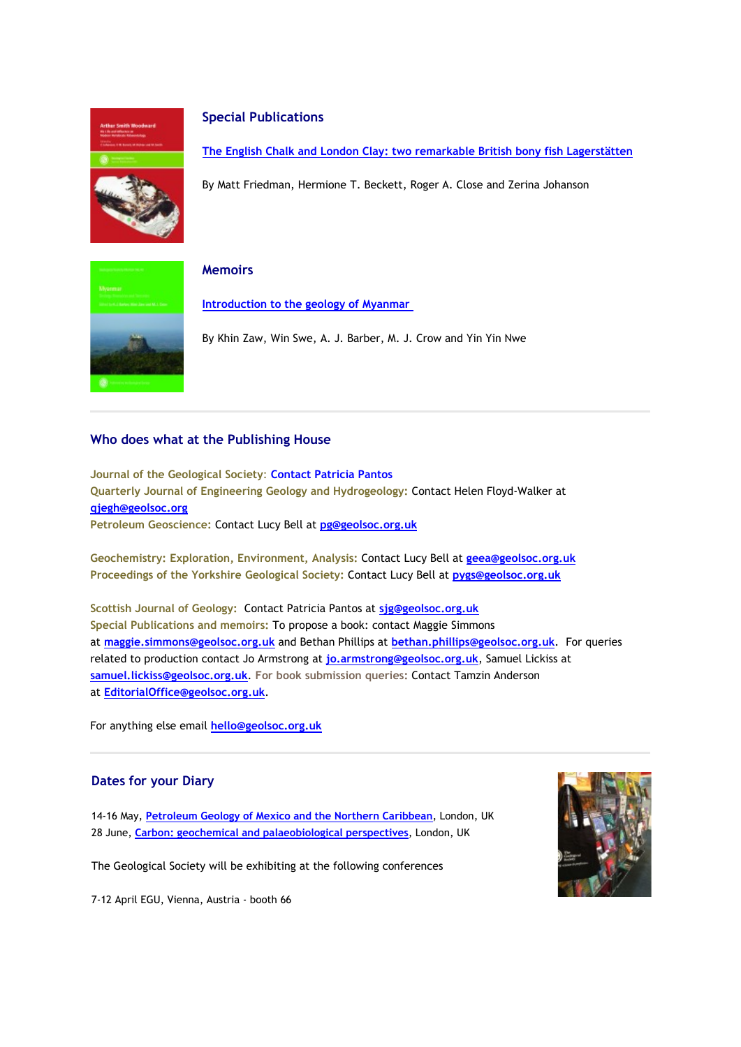

#### **Special Publications**

**[The English Chalk and London Clay: two remarkable British bony fish](https://eur01.safelinks.protection.outlook.com/?url=http%3A%2F%2Fgeologicalsociety.msgfocus.com%2Fc%2F1iypX5ubBnF213MevML&data=02%7C01%7Clucy.pullen%40geolsoc.org.uk%7Cf7a529ccdd514e6052d608d6ccb520b1%7C8793af0570194bd4bcbe1895301e92f9%7C0%7C0%7C636921475640821330&sdata=2WYuB307OTxzWylJaQ%2Fd0XR1E9iB7fPWT8NRRaCtE0Y%3D&reserved=0) Lagerstätten**

By Matt Friedman, Hermione T. Beckett, Roger A. Close and Zerina Johanson



#### **Memoirs**

**[Introduction to the geology of Myanmar](https://eur01.safelinks.protection.outlook.com/?url=http%3A%2F%2Fgeologicalsociety.msgfocus.com%2Fc%2F1iyqeyNMlcnVqpch8CB&data=02%7C01%7Clucy.pullen%40geolsoc.org.uk%7Cf7a529ccdd514e6052d608d6ccb520b1%7C8793af0570194bd4bcbe1895301e92f9%7C0%7C0%7C636921475640831340&sdata=8kgaM0cVjbNp7EQ0obVsRDVsp3zuRST57Hl88qOS2N4%3D&reserved=0)**

By Khin Zaw, Win Swe, A. J. Barber, M. J. Crow and Yin Yin Nwe

### **Who does what at the Publishing House**

**Journal of the Geological Society**: **[Contact Patricia Pantos](https://eur01.safelinks.protection.outlook.com/?url=http%3A%2F%2Fgeologicalsociety.msgfocus.com%2Fc%2F1iyqniszI6Kn84Uis2w&data=02%7C01%7Clucy.pullen%40geolsoc.org.uk%7Cf7a529ccdd514e6052d608d6ccb520b1%7C8793af0570194bd4bcbe1895301e92f9%7C0%7C0%7C636921475640831340&sdata=RUzmDpfgNerJg%2B4x4qnH4ChW7bB8gED42R7nBMWG4kU%3D&reserved=0) Quarterly Journal of Engineering Geology and Hydrogeology:** Contact Helen Floyd-Walker at **[qjegh@geolsoc.org](mailto:qjegh@geolsoc.org) Petroleum Geoscience:** Contact Lucy Bell at **[pg@geolsoc.org.uk](mailto:pg@geolsoc.org.uk)**

**Geochemistry: Exploration, Environment, Analysis:** Contact Lucy Bell at **[geea@geolsoc.org.uk](mailto:geea@geolsoc.org) Proceedings of the Yorkshire Geological Society:** Contact Lucy Bell at **[pygs@geolsoc.org.uk](mailto:pygs@geolsoc.org.uk)**

**Scottish Journal of Geology:** Contact Patricia Pantos at **[sjg@geolsoc.org.uk](mailto:sjg@geolsoc.org.uk) Special Publications and memoirs:** To propose a book: contact Maggie Simmons at **[maggie.simmons@geolsoc.org.uk](mailto:maggie.simmons@geolsoc.org.uk)** and Bethan Phillips at **[bethan.phillips@geolsoc.org.uk](mailto:bethan.phillips@geolsoc.org.uk)**. For queries related to production contact Jo Armstrong at **[jo.armstrong@geolsoc.org.uk](https://eur01.safelinks.protection.outlook.com/?url=http%3A%2F%2Fgeologicalsociety.msgfocus.com%2Fc%2F1iyqw27n516OPKCjLsr&data=02%7C01%7Clucy.pullen%40geolsoc.org.uk%7Cf7a529ccdd514e6052d608d6ccb520b1%7C8793af0570194bd4bcbe1895301e92f9%7C0%7C0%7C636921475640841345&sdata=bi7fdNKY%2FHVVqXsXHFlqCdbiQL1DLflRqR5C1pqh9Tc%3D&reserved=0)**, Samuel Lickiss at **[samuel.lickiss@geolsoc.org.uk](mailto:samuel.lickiss@geolsoc.org.uk)**. **For book submission queries:** Contact Tamzin Anderson at **[EditorialOffice@geolsoc.org.uk](mailto:EditorialOffice@geolsoc.org.uk)**.

For anything else email **[hello@geolsoc.org.uk](mailto:hello@geolsoc.org.uk)**

#### **Dates for your Diary**

14-16 May, **[Petroleum Geology of Mexico and the Northern Caribbean](https://eur01.safelinks.protection.outlook.com/?url=http%3A%2F%2Fgeologicalsociety.msgfocus.com%2Fc%2F1iyqELMarVtgxqkl4Sm&data=02%7C01%7Clucy.pullen%40geolsoc.org.uk%7Cf7a529ccdd514e6052d608d6ccb520b1%7C8793af0570194bd4bcbe1895301e92f9%7C0%7C0%7C636921475640841345&sdata=ShDp4bm0Gy17FhTJNgNxs1yD7og%2BCen9bT83lx1h7vs%3D&reserved=0)**, London, UK 28 June, **[Carbon: geochemical and palaeobiological perspectives](https://eur01.safelinks.protection.outlook.com/?url=http%3A%2F%2Fgeologicalsociety.msgfocus.com%2Fc%2F1iyqWf5LbKc9WLKnHIc&data=02%7C01%7Clucy.pullen%40geolsoc.org.uk%7Cf7a529ccdd514e6052d608d6ccb520b1%7C8793af0570194bd4bcbe1895301e92f9%7C0%7C0%7C636921475640851354&sdata=e77x9DihyiJCc%2B6%2FcUafF43lud1bJOKJz64b22qxqmU%3D&reserved=0)**, London, UK

The Geological Society will be exhibiting at the following conferences

7-12 April EGU, Vienna, Austria - booth 66